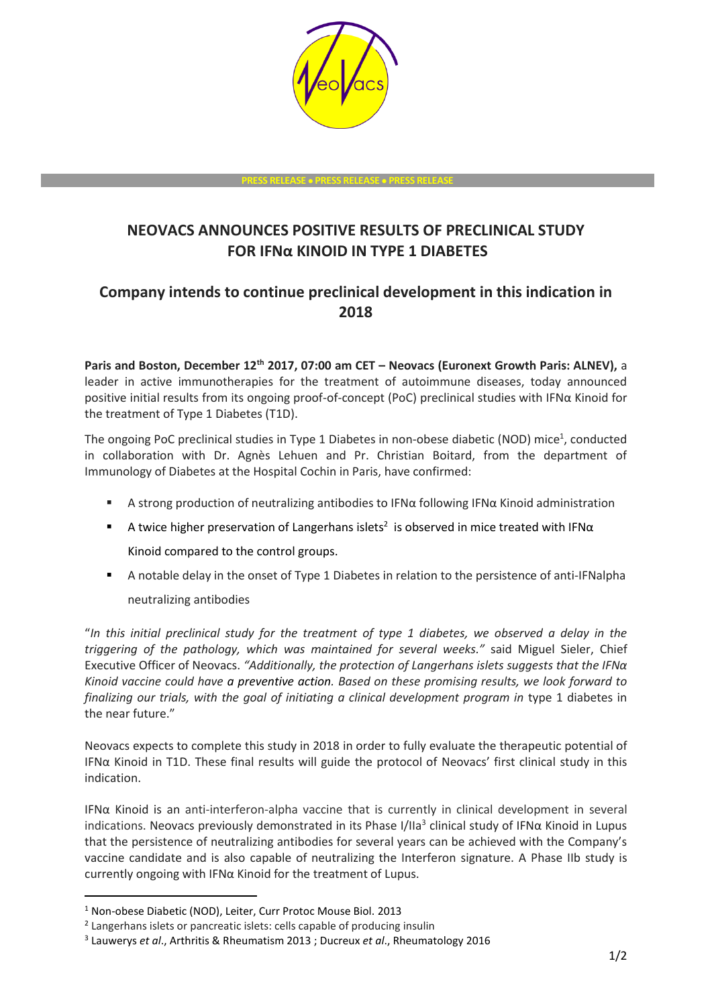

**PRESS RELEASE** • **PRESS RELEASE** • **PRESS RELEASE**

# **NEOVACS ANNOUNCES POSITIVE RESULTS OF PRECLINICAL STUDY FOR IFNα KINOID IN TYPE 1 DIABETES**

# **Company intends to continue preclinical development in this indication in 2018**

**Paris and Boston, December 12th 2017, 07:00 am CET – Neovacs (Euronext Growth Paris: ALNEV),** a leader in active immunotherapies for the treatment of autoimmune diseases, today announced positive initial results from its ongoing proof-of-concept (PoC) preclinical studies with IFNα Kinoid for the treatment of Type 1 Diabetes (T1D).

The ongoing PoC preclinical studies in Type 1 Diabetes in non-obese diabetic (NOD) mice<sup>1</sup>, conducted in collaboration with Dr. Agnès Lehuen and Pr. Christian Boitard, from the department of Immunology of Diabetes at the Hospital Cochin in Paris, have confirmed:

- A strong production of neutralizing antibodies to IFN $\alpha$  following IFN $\alpha$  Kinoid administration
- **E** A twice higher preservation of Langerhans islets<sup>2</sup> is observed in mice treated with IFN $\alpha$ Kinoid compared to the control groups.
- A notable delay in the onset of Type 1 Diabetes in relation to the persistence of anti-IFNalpha neutralizing antibodies

"*In this initial preclinical study for the treatment of type 1 diabetes, we observed a delay in the triggering of the pathology, which was maintained for several weeks."* said Miguel Sieler, Chief Executive Officer of Neovacs. *"Additionally, the protection of Langerhans islets suggests that the IFNα Kinoid vaccine could have a preventive action. Based on these promising results, we look forward to finalizing our trials, with the goal of initiating a clinical development program in* type 1 diabetes in the near future."

Neovacs expects to complete this study in 2018 in order to fully evaluate the therapeutic potential of IFNα Kinoid in T1D. These final results will guide the protocol of Neovacs' first clinical study in this indication.

IFNα Kinoid is an anti-interferon-alpha vaccine that is currently in clinical development in several indications. Neovacs previously demonstrated in its Phase I/IIa<sup>3</sup> clinical study of IFNα Kinoid in Lupus that the persistence of neutralizing antibodies for several years can be achieved with the Company's vaccine candidate and is also capable of neutralizing the Interferon signature. A Phase IIb study is currently ongoing with IFNα Kinoid for the treatment of Lupus.

-

<sup>1</sup> Non-obese Diabetic (NOD), Leiter, Curr Protoc Mouse Biol. 2013

<sup>&</sup>lt;sup>2</sup> Langerhans islets or pancreatic islets: cells capable of producing insulin

<sup>3</sup> Lauwerys *et al*., Arthritis & Rheumatism 2013 ; Ducreux *et al*., Rheumatology 2016